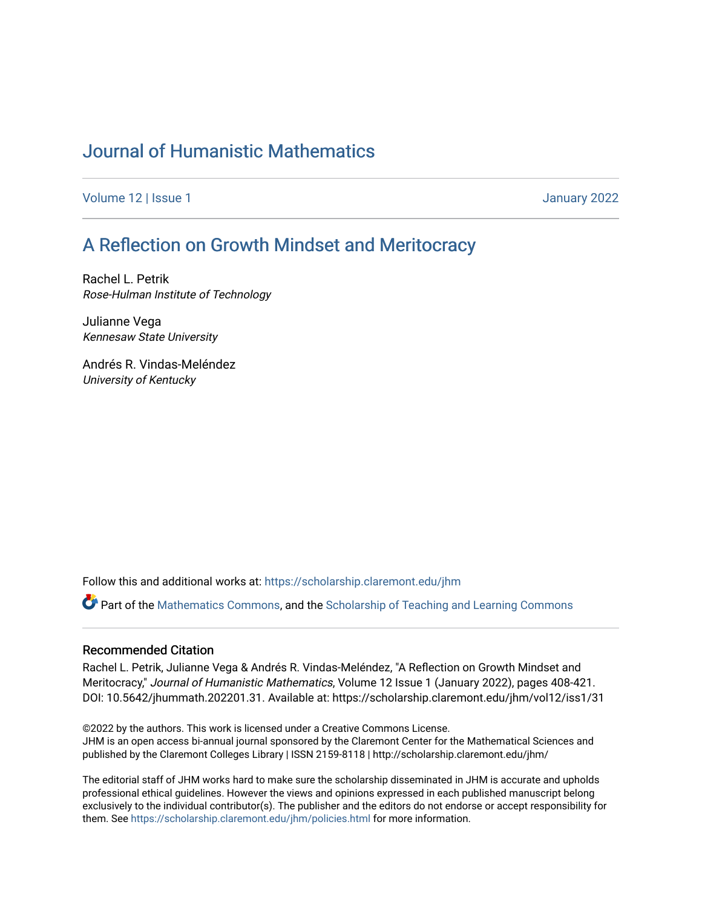# [Journal of Humanistic Mathematics](https://scholarship.claremont.edu/jhm)

[Volume 12](https://scholarship.claremont.edu/jhm/vol12) | Issue 1 January 2022

## [A Reflection on Growth Mindset and Meritocracy](https://scholarship.claremont.edu/jhm/vol12/iss1/31)

Rachel L. Petrik Rose-Hulman Institute of Technology

Julianne Vega Kennesaw State University

Andrés R. Vindas-Meléndez University of Kentucky

Follow this and additional works at: [https://scholarship.claremont.edu/jhm](https://scholarship.claremont.edu/jhm?utm_source=scholarship.claremont.edu%2Fjhm%2Fvol12%2Fiss1%2F31&utm_medium=PDF&utm_campaign=PDFCoverPages)

Part of the [Mathematics Commons](http://network.bepress.com/hgg/discipline/174?utm_source=scholarship.claremont.edu%2Fjhm%2Fvol12%2Fiss1%2F31&utm_medium=PDF&utm_campaign=PDFCoverPages), and the [Scholarship of Teaching and Learning Commons](http://network.bepress.com/hgg/discipline/1328?utm_source=scholarship.claremont.edu%2Fjhm%2Fvol12%2Fiss1%2F31&utm_medium=PDF&utm_campaign=PDFCoverPages)

#### Recommended Citation

Rachel L. Petrik, Julianne Vega & Andrés R. Vindas-Meléndez, "A Reflection on Growth Mindset and Meritocracy," Journal of Humanistic Mathematics, Volume 12 Issue 1 (January 2022), pages 408-421. DOI: 10.5642/jhummath.202201.31. Available at: https://scholarship.claremont.edu/jhm/vol12/iss1/31

©2022 by the authors. This work is licensed under a Creative Commons License. JHM is an open access bi-annual journal sponsored by the Claremont Center for the Mathematical Sciences and published by the Claremont Colleges Library | ISSN 2159-8118 | http://scholarship.claremont.edu/jhm/

The editorial staff of JHM works hard to make sure the scholarship disseminated in JHM is accurate and upholds professional ethical guidelines. However the views and opinions expressed in each published manuscript belong exclusively to the individual contributor(s). The publisher and the editors do not endorse or accept responsibility for them. See<https://scholarship.claremont.edu/jhm/policies.html> for more information.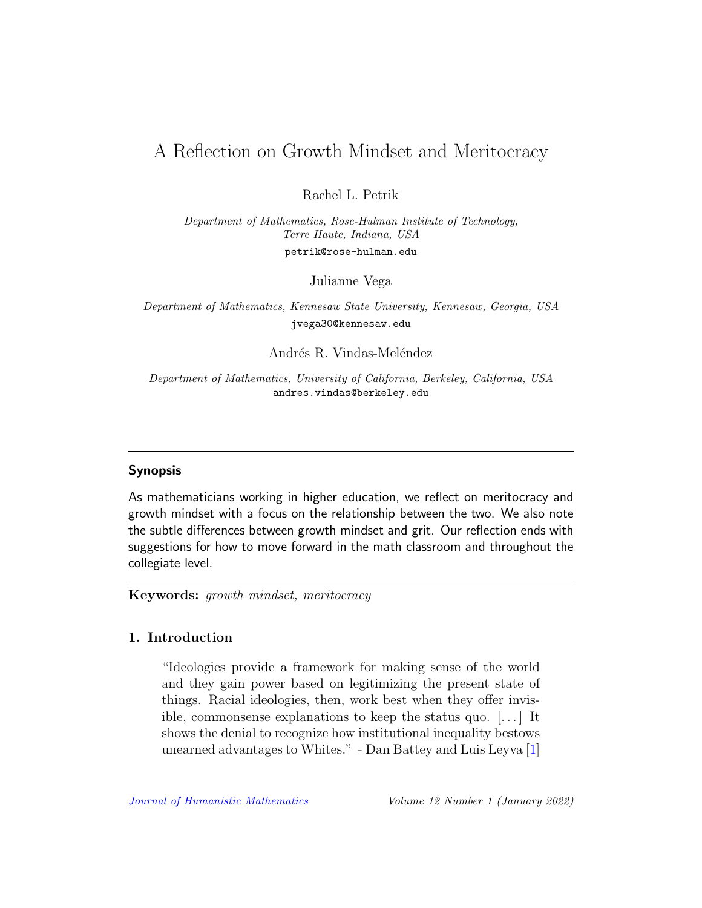## A Reflection on Growth Mindset and Meritocracy

Rachel L. Petrik

Department of Mathematics, Rose-Hulman Institute of Technology, Terre Haute, Indiana, USA petrik@rose-hulman.edu

Julianne Vega

Department of Mathematics, Kennesaw State University, Kennesaw, Georgia, USA jvega30@kennesaw.edu

Andrés R. Vindas-Meléndez

Department of Mathematics, University of California, Berkeley, California, USA andres.vindas@berkeley.edu

## Synopsis

As mathematicians working in higher education, we reflect on meritocracy and growth mindset with a focus on the relationship between the two. We also note the subtle differences between growth mindset and grit. Our reflection ends with suggestions for how to move forward in the math classroom and throughout the collegiate level.

Keywords: growth mindset, meritocracy

## 1. Introduction

"Ideologies provide a framework for making sense of the world and they gain power based on legitimizing the present state of things. Racial ideologies, then, work best when they offer invisible, commonsense explanations to keep the status quo. [. . . ] It shows the denial to recognize how institutional inequality bestows unearned advantages to Whites." - Dan Battey and Luis Leyva [\[1\]](#page-11-0)

[Journal of Humanistic Mathematics](http://scholarship.claremont.edu/jhm/) Volume 12 Number 1 (January 2022)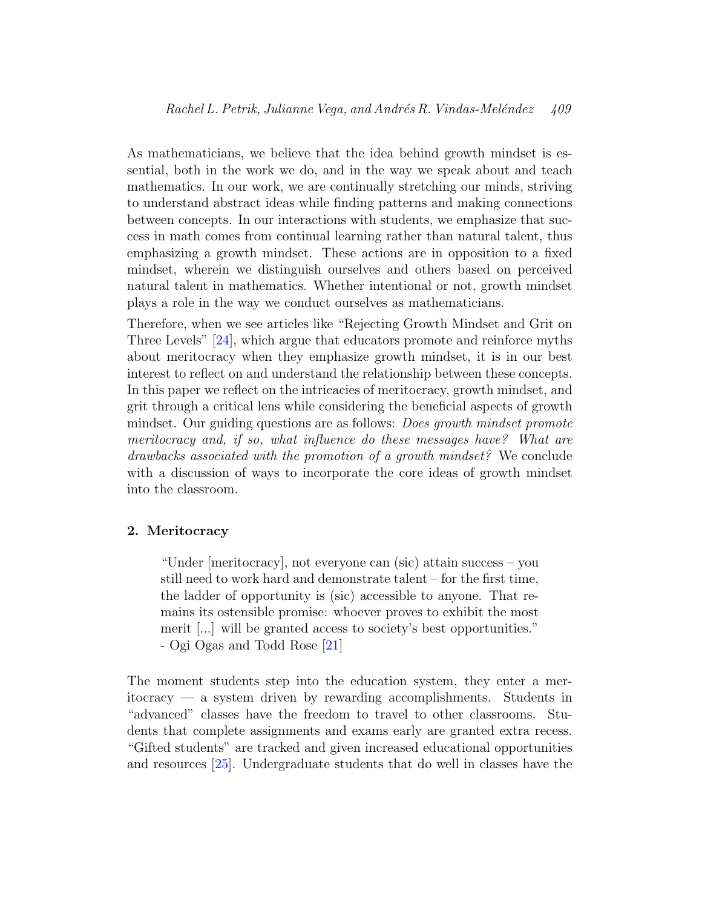As mathematicians, we believe that the idea behind growth mindset is essential, both in the work we do, and in the way we speak about and teach mathematics. In our work, we are continually stretching our minds, striving to understand abstract ideas while finding patterns and making connections between concepts. In our interactions with students, we emphasize that success in math comes from continual learning rather than natural talent, thus emphasizing a growth mindset. These actions are in opposition to a fixed mindset, wherein we distinguish ourselves and others based on perceived natural talent in mathematics. Whether intentional or not, growth mindset plays a role in the way we conduct ourselves as mathematicians.

Therefore, when we see articles like "Rejecting Growth Mindset and Grit on Three Levels" [\[24\]](#page-14-0), which argue that educators promote and reinforce myths about meritocracy when they emphasize growth mindset, it is in our best interest to reflect on and understand the relationship between these concepts. In this paper we reflect on the intricacies of meritocracy, growth mindset, and grit through a critical lens while considering the beneficial aspects of growth mindset. Our guiding questions are as follows: *Does growth mindset promote* meritocracy and, if so, what influence do these messages have? What are drawbacks associated with the promotion of a growth mindset? We conclude with a discussion of ways to incorporate the core ideas of growth mindset into the classroom.

#### 2. Meritocracy

"Under [meritocracy], not everyone can (sic) attain success – you still need to work hard and demonstrate talent – for the first time, the ladder of opportunity is (sic) accessible to anyone. That remains its ostensible promise: whoever proves to exhibit the most merit [...] will be granted access to society's best opportunities." - Ogi Ogas and Todd Rose [\[21\]](#page-14-1)

The moment students step into the education system, they enter a meritocracy — a system driven by rewarding accomplishments. Students in "advanced" classes have the freedom to travel to other classrooms. Students that complete assignments and exams early are granted extra recess. "Gifted students" are tracked and given increased educational opportunities and resources [\[25\]](#page-14-2). Undergraduate students that do well in classes have the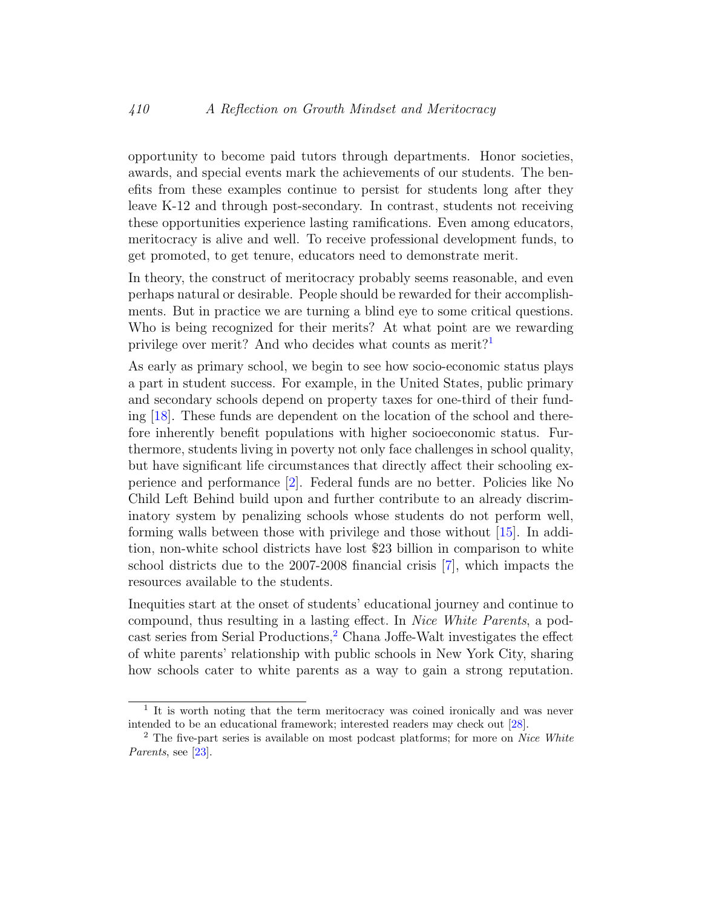opportunity to become paid tutors through departments. Honor societies, awards, and special events mark the achievements of our students. The benefits from these examples continue to persist for students long after they leave K-12 and through post-secondary. In contrast, students not receiving these opportunities experience lasting ramifications. Even among educators, meritocracy is alive and well. To receive professional development funds, to get promoted, to get tenure, educators need to demonstrate merit.

In theory, the construct of meritocracy probably seems reasonable, and even perhaps natural or desirable. People should be rewarded for their accomplishments. But in practice we are turning a blind eye to some critical questions. Who is being recognized for their merits? At what point are we rewarding privilege over merit? And who decides what counts as merit?<sup>[1](#page-3-0)</sup>

As early as primary school, we begin to see how socio-economic status plays a part in student success. For example, in the United States, public primary and secondary schools depend on property taxes for one-third of their funding [\[18\]](#page-13-0). These funds are dependent on the location of the school and therefore inherently benefit populations with higher socioeconomic status. Furthermore, students living in poverty not only face challenges in school quality, but have significant life circumstances that directly affect their schooling experience and performance [\[2\]](#page-11-1). Federal funds are no better. Policies like No Child Left Behind build upon and further contribute to an already discriminatory system by penalizing schools whose students do not perform well, forming walls between those with privilege and those without [\[15\]](#page-13-1). In addition, non-white school districts have lost \$23 billion in comparison to white school districts due to the 2007-2008 financial crisis [\[7\]](#page-12-0), which impacts the resources available to the students.

Inequities start at the onset of students' educational journey and continue to compound, thus resulting in a lasting effect. In Nice White Parents, a pod-cast series from Serial Productions,<sup>[2](#page-3-1)</sup> Chana Joffe-Walt investigates the effect of white parents' relationship with public schools in New York City, sharing how schools cater to white parents as a way to gain a strong reputation.

<span id="page-3-0"></span><sup>&</sup>lt;sup>1</sup> It is worth noting that the term meritocracy was coined ironically and was never intended to be an educational framework; interested readers may check out [\[28\]](#page-14-3).

<span id="page-3-1"></span><sup>&</sup>lt;sup>2</sup> The five-part series is available on most podcast platforms; for more on *Nice White* Parents, see [\[23\]](#page-14-4).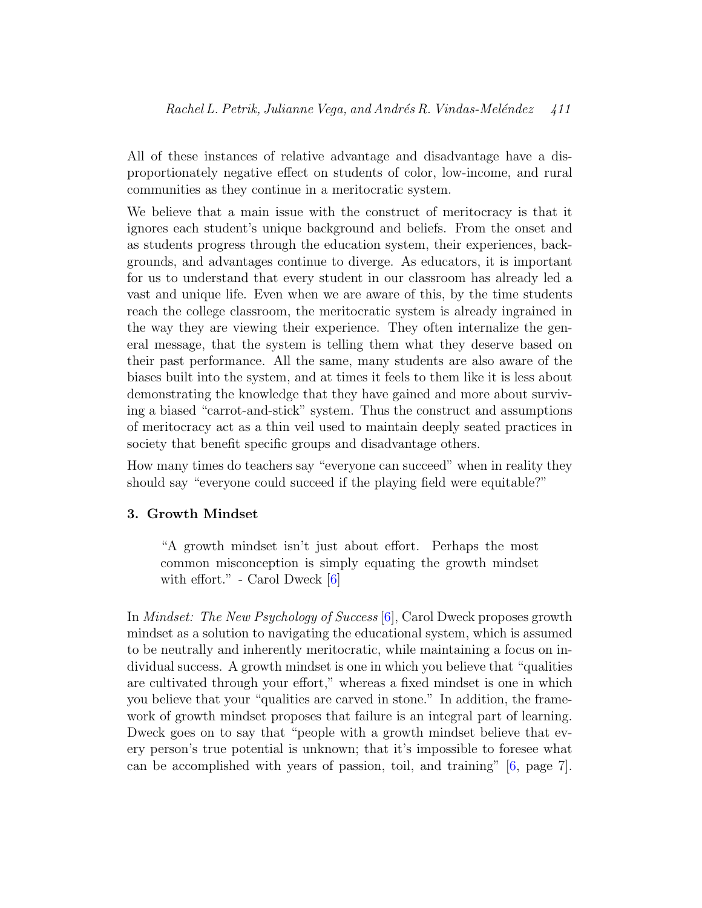All of these instances of relative advantage and disadvantage have a disproportionately negative effect on students of color, low-income, and rural communities as they continue in a meritocratic system.

We believe that a main issue with the construct of meritocracy is that it ignores each student's unique background and beliefs. From the onset and as students progress through the education system, their experiences, backgrounds, and advantages continue to diverge. As educators, it is important for us to understand that every student in our classroom has already led a vast and unique life. Even when we are aware of this, by the time students reach the college classroom, the meritocratic system is already ingrained in the way they are viewing their experience. They often internalize the general message, that the system is telling them what they deserve based on their past performance. All the same, many students are also aware of the biases built into the system, and at times it feels to them like it is less about demonstrating the knowledge that they have gained and more about surviving a biased "carrot-and-stick" system. Thus the construct and assumptions of meritocracy act as a thin veil used to maintain deeply seated practices in society that benefit specific groups and disadvantage others.

How many times do teachers say "everyone can succeed" when in reality they should say "everyone could succeed if the playing field were equitable?"

## 3. Growth Mindset

"A growth mindset isn't just about effort. Perhaps the most common misconception is simply equating the growth mindset with effort." - Carol Dweck [\[6\]](#page-12-1)

In Mindset: The New Psychology of Success [\[6\]](#page-12-1), Carol Dweck proposes growth mindset as a solution to navigating the educational system, which is assumed to be neutrally and inherently meritocratic, while maintaining a focus on individual success. A growth mindset is one in which you believe that "qualities are cultivated through your effort," whereas a fixed mindset is one in which you believe that your "qualities are carved in stone." In addition, the framework of growth mindset proposes that failure is an integral part of learning. Dweck goes on to say that "people with a growth mindset believe that every person's true potential is unknown; that it's impossible to foresee what can be accomplished with years of passion, toil, and training"  $[6, \text{page 7}]$  $[6, \text{page 7}]$ .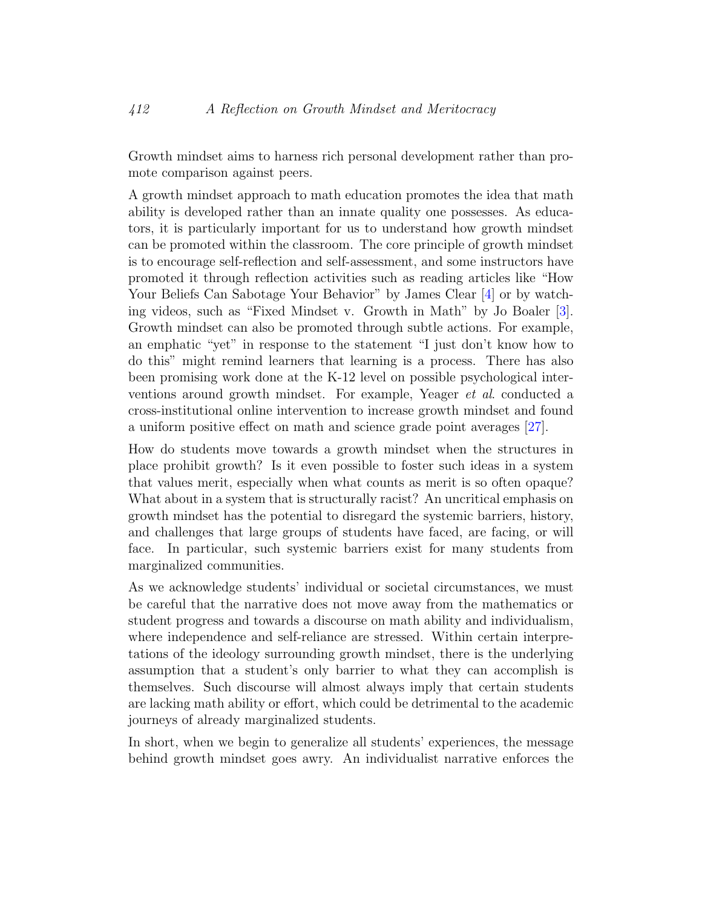Growth mindset aims to harness rich personal development rather than promote comparison against peers.

A growth mindset approach to math education promotes the idea that math ability is developed rather than an innate quality one possesses. As educators, it is particularly important for us to understand how growth mindset can be promoted within the classroom. The core principle of growth mindset is to encourage self-reflection and self-assessment, and some instructors have promoted it through reflection activities such as reading articles like "How Your Beliefs Can Sabotage Your Behavior" by James Clear [\[4\]](#page-12-2) or by watching videos, such as "Fixed Mindset v. Growth in Math" by Jo Boaler [\[3\]](#page-11-2). Growth mindset can also be promoted through subtle actions. For example, an emphatic "yet" in response to the statement "I just don't know how to do this" might remind learners that learning is a process. There has also been promising work done at the K-12 level on possible psychological interventions around growth mindset. For example, Yeager et al. conducted a cross-institutional online intervention to increase growth mindset and found a uniform positive effect on math and science grade point averages [\[27\]](#page-14-5).

How do students move towards a growth mindset when the structures in place prohibit growth? Is it even possible to foster such ideas in a system that values merit, especially when what counts as merit is so often opaque? What about in a system that is structurally racist? An uncritical emphasis on growth mindset has the potential to disregard the systemic barriers, history, and challenges that large groups of students have faced, are facing, or will face. In particular, such systemic barriers exist for many students from marginalized communities.

As we acknowledge students' individual or societal circumstances, we must be careful that the narrative does not move away from the mathematics or student progress and towards a discourse on math ability and individualism, where independence and self-reliance are stressed. Within certain interpretations of the ideology surrounding growth mindset, there is the underlying assumption that a student's only barrier to what they can accomplish is themselves. Such discourse will almost always imply that certain students are lacking math ability or effort, which could be detrimental to the academic journeys of already marginalized students.

In short, when we begin to generalize all students' experiences, the message behind growth mindset goes awry. An individualist narrative enforces the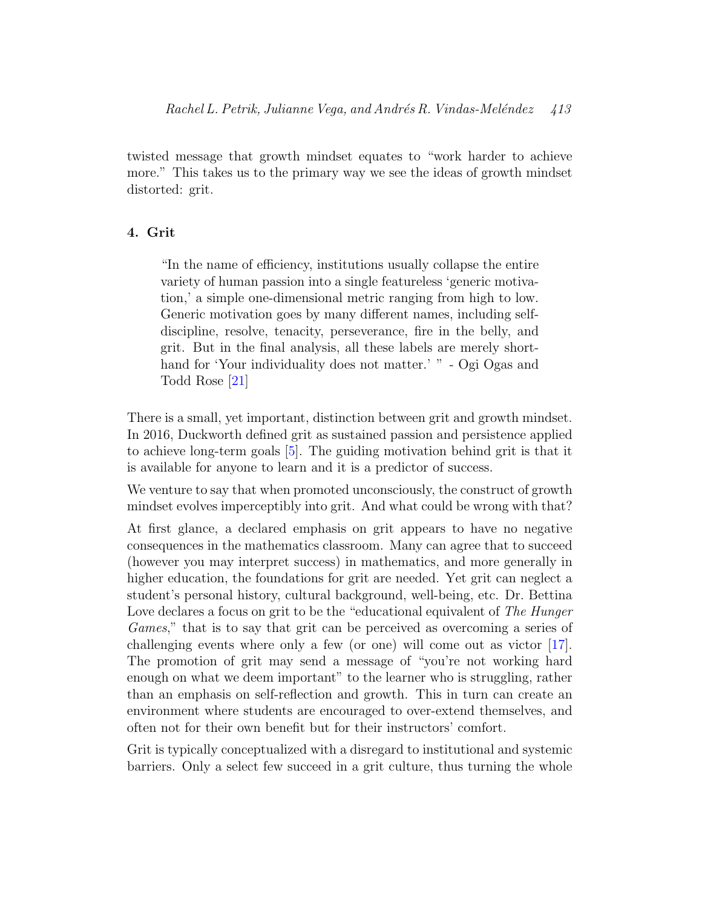twisted message that growth mindset equates to "work harder to achieve more." This takes us to the primary way we see the ideas of growth mindset distorted: grit.

#### 4. Grit

"In the name of efficiency, institutions usually collapse the entire variety of human passion into a single featureless 'generic motivation,' a simple one-dimensional metric ranging from high to low. Generic motivation goes by many different names, including selfdiscipline, resolve, tenacity, perseverance, fire in the belly, and grit. But in the final analysis, all these labels are merely shorthand for 'Your individuality does not matter.' " - Ogi Ogas and Todd Rose [\[21\]](#page-14-1)

There is a small, yet important, distinction between grit and growth mindset. In 2016, Duckworth defined grit as sustained passion and persistence applied to achieve long-term goals [\[5\]](#page-12-3). The guiding motivation behind grit is that it is available for anyone to learn and it is a predictor of success.

We venture to say that when promoted unconsciously, the construct of growth mindset evolves imperceptibly into grit. And what could be wrong with that?

At first glance, a declared emphasis on grit appears to have no negative consequences in the mathematics classroom. Many can agree that to succeed (however you may interpret success) in mathematics, and more generally in higher education, the foundations for grit are needed. Yet grit can neglect a student's personal history, cultural background, well-being, etc. Dr. Bettina Love declares a focus on grit to be the "educational equivalent of The Hunger" Games," that is to say that grit can be perceived as overcoming a series of challenging events where only a few (or one) will come out as victor [\[17\]](#page-13-2). The promotion of grit may send a message of "you're not working hard enough on what we deem important" to the learner who is struggling, rather than an emphasis on self-reflection and growth. This in turn can create an environment where students are encouraged to over-extend themselves, and often not for their own benefit but for their instructors' comfort.

Grit is typically conceptualized with a disregard to institutional and systemic barriers. Only a select few succeed in a grit culture, thus turning the whole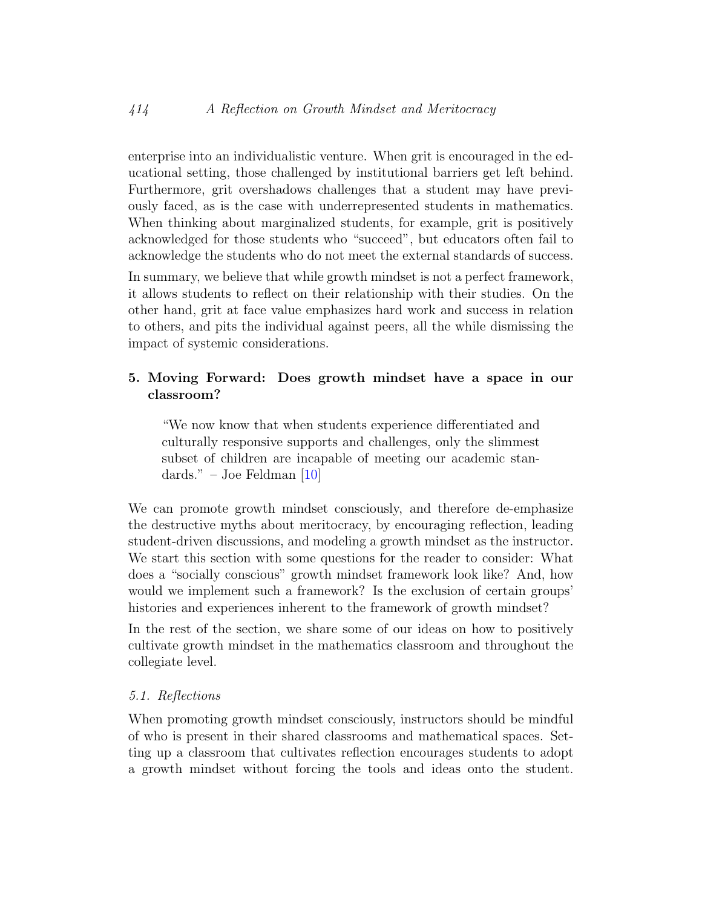enterprise into an individualistic venture. When grit is encouraged in the educational setting, those challenged by institutional barriers get left behind. Furthermore, grit overshadows challenges that a student may have previously faced, as is the case with underrepresented students in mathematics. When thinking about marginalized students, for example, grit is positively acknowledged for those students who "succeed", but educators often fail to acknowledge the students who do not meet the external standards of success.

In summary, we believe that while growth mindset is not a perfect framework, it allows students to reflect on their relationship with their studies. On the other hand, grit at face value emphasizes hard work and success in relation to others, and pits the individual against peers, all the while dismissing the impact of systemic considerations.

## 5. Moving Forward: Does growth mindset have a space in our classroom?

"We now know that when students experience differentiated and culturally responsive supports and challenges, only the slimmest subset of children are incapable of meeting our academic standards." – Joe Feldman  $[10]$ 

We can promote growth mindset consciously, and therefore de-emphasize the destructive myths about meritocracy, by encouraging reflection, leading student-driven discussions, and modeling a growth mindset as the instructor. We start this section with some questions for the reader to consider: What does a "socially conscious" growth mindset framework look like? And, how would we implement such a framework? Is the exclusion of certain groups' histories and experiences inherent to the framework of growth mindset?

In the rest of the section, we share some of our ideas on how to positively cultivate growth mindset in the mathematics classroom and throughout the collegiate level.

## 5.1. Reflections

When promoting growth mindset consciously, instructors should be mindful of who is present in their shared classrooms and mathematical spaces. Setting up a classroom that cultivates reflection encourages students to adopt a growth mindset without forcing the tools and ideas onto the student.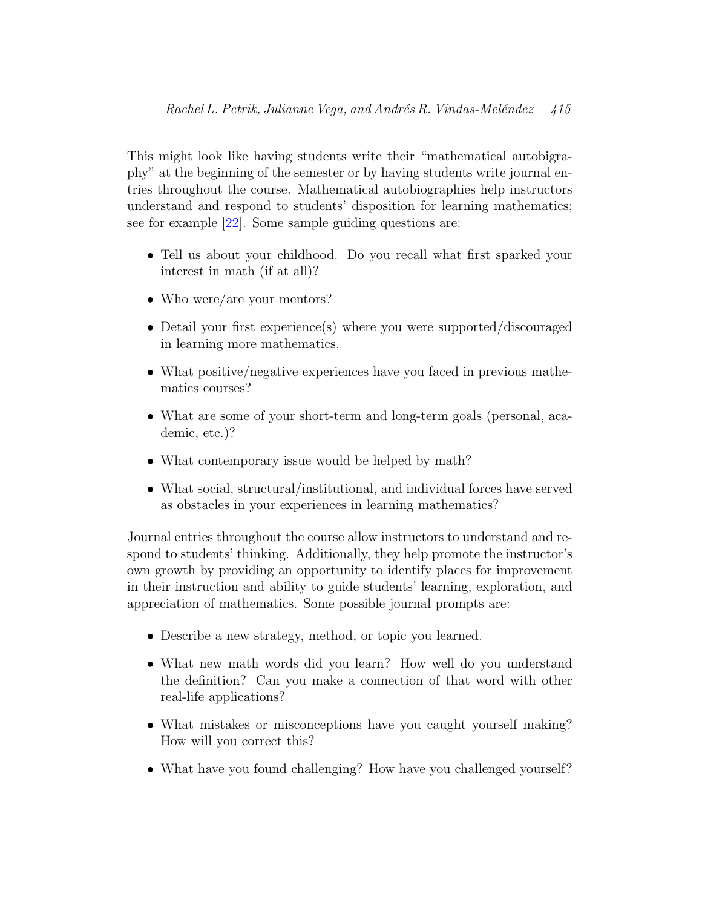This might look like having students write their "mathematical autobigraphy" at the beginning of the semester or by having students write journal entries throughout the course. Mathematical autobiographies help instructors understand and respond to students' disposition for learning mathematics; see for example [\[22\]](#page-14-6). Some sample guiding questions are:

- Tell us about your childhood. Do you recall what first sparked your interest in math (if at all)?
- Who were/are your mentors?
- Detail your first experience(s) where you were supported/discouraged in learning more mathematics.
- What positive/negative experiences have you faced in previous mathematics courses?
- What are some of your short-term and long-term goals (personal, academic, etc.)?
- What contemporary issue would be helped by math?
- What social, structural/institutional, and individual forces have served as obstacles in your experiences in learning mathematics?

Journal entries throughout the course allow instructors to understand and respond to students' thinking. Additionally, they help promote the instructor's own growth by providing an opportunity to identify places for improvement in their instruction and ability to guide students' learning, exploration, and appreciation of mathematics. Some possible journal prompts are:

- Describe a new strategy, method, or topic you learned.
- What new math words did you learn? How well do you understand the definition? Can you make a connection of that word with other real-life applications?
- What mistakes or misconceptions have you caught yourself making? How will you correct this?
- What have you found challenging? How have you challenged yourself?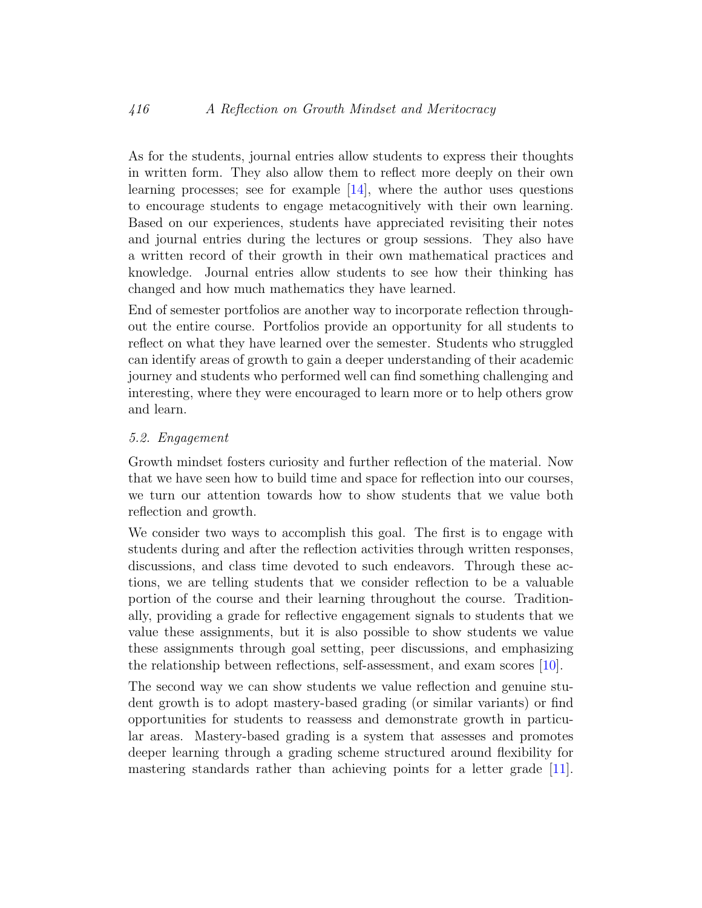As for the students, journal entries allow students to express their thoughts in written form. They also allow them to reflect more deeply on their own learning processes; see for example  $[14]$ , where the author uses questions to encourage students to engage metacognitively with their own learning. Based on our experiences, students have appreciated revisiting their notes and journal entries during the lectures or group sessions. They also have a written record of their growth in their own mathematical practices and knowledge. Journal entries allow students to see how their thinking has changed and how much mathematics they have learned.

End of semester portfolios are another way to incorporate reflection throughout the entire course. Portfolios provide an opportunity for all students to reflect on what they have learned over the semester. Students who struggled can identify areas of growth to gain a deeper understanding of their academic journey and students who performed well can find something challenging and interesting, where they were encouraged to learn more or to help others grow and learn.

#### 5.2. Engagement

Growth mindset fosters curiosity and further reflection of the material. Now that we have seen how to build time and space for reflection into our courses, we turn our attention towards how to show students that we value both reflection and growth.

We consider two ways to accomplish this goal. The first is to engage with students during and after the reflection activities through written responses, discussions, and class time devoted to such endeavors. Through these actions, we are telling students that we consider reflection to be a valuable portion of the course and their learning throughout the course. Traditionally, providing a grade for reflective engagement signals to students that we value these assignments, but it is also possible to show students we value these assignments through goal setting, peer discussions, and emphasizing the relationship between reflections, self-assessment, and exam scores [\[10\]](#page-12-4).

The second way we can show students we value reflection and genuine student growth is to adopt mastery-based grading (or similar variants) or find opportunities for students to reassess and demonstrate growth in particular areas. Mastery-based grading is a system that assesses and promotes deeper learning through a grading scheme structured around flexibility for mastering standards rather than achieving points for a letter grade [\[11\]](#page-12-5).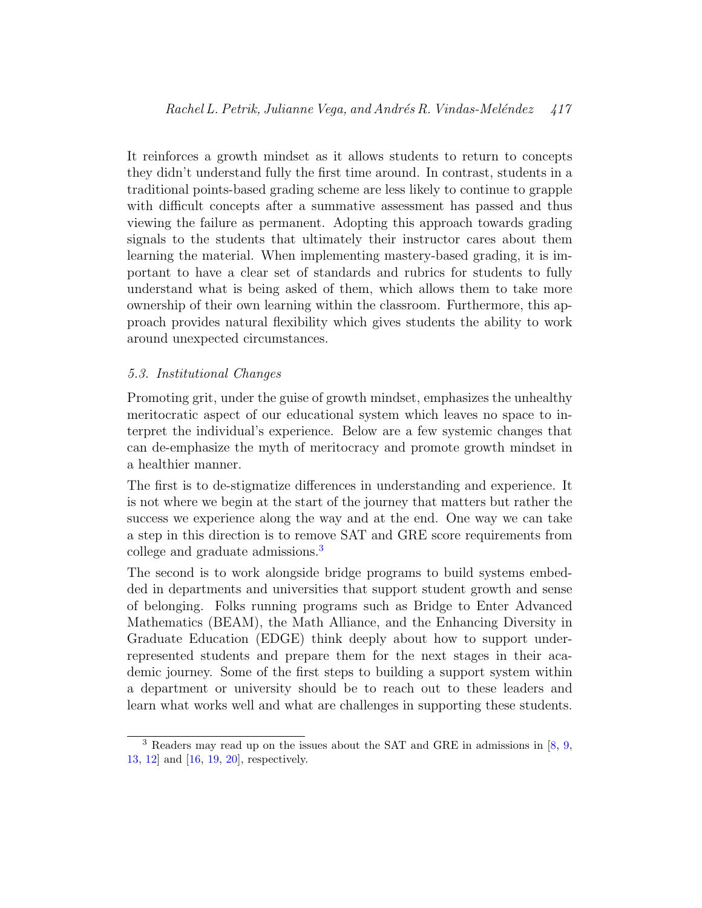It reinforces a growth mindset as it allows students to return to concepts they didn't understand fully the first time around. In contrast, students in a traditional points-based grading scheme are less likely to continue to grapple with difficult concepts after a summative assessment has passed and thus viewing the failure as permanent. Adopting this approach towards grading signals to the students that ultimately their instructor cares about them learning the material. When implementing mastery-based grading, it is important to have a clear set of standards and rubrics for students to fully understand what is being asked of them, which allows them to take more ownership of their own learning within the classroom. Furthermore, this approach provides natural flexibility which gives students the ability to work around unexpected circumstances.

## 5.3. Institutional Changes

Promoting grit, under the guise of growth mindset, emphasizes the unhealthy meritocratic aspect of our educational system which leaves no space to interpret the individual's experience. Below are a few systemic changes that can de-emphasize the myth of meritocracy and promote growth mindset in a healthier manner.

The first is to de-stigmatize differences in understanding and experience. It is not where we begin at the start of the journey that matters but rather the success we experience along the way and at the end. One way we can take a step in this direction is to remove SAT and GRE score requirements from college and graduate admissions.[3](#page-10-0)

The second is to work alongside bridge programs to build systems embedded in departments and universities that support student growth and sense of belonging. Folks running programs such as Bridge to Enter Advanced Mathematics (BEAM), the Math Alliance, and the Enhancing Diversity in Graduate Education (EDGE) think deeply about how to support underrepresented students and prepare them for the next stages in their academic journey. Some of the first steps to building a support system within a department or university should be to reach out to these leaders and learn what works well and what are challenges in supporting these students.

<span id="page-10-0"></span><sup>&</sup>lt;sup>3</sup> Readers may read up on the issues about the SAT and GRE in admissions in [\[8,](#page-12-6) [9,](#page-12-7)] [13,](#page-13-4) [12\]](#page-12-8) and [\[16,](#page-13-5) [19,](#page-13-6) [20\]](#page-13-7), respectively.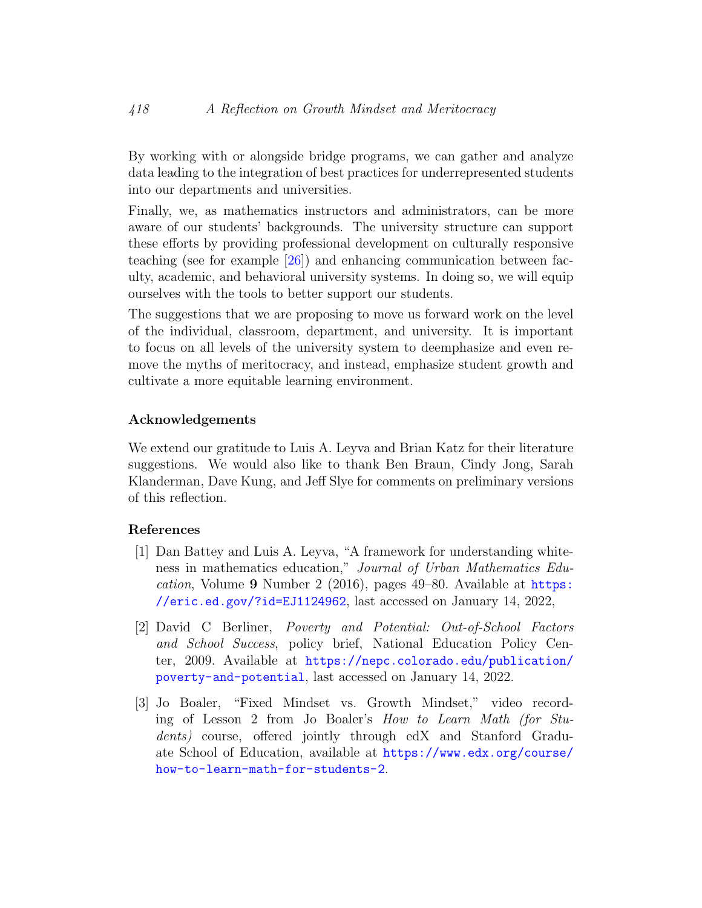By working with or alongside bridge programs, we can gather and analyze data leading to the integration of best practices for underrepresented students into our departments and universities.

Finally, we, as mathematics instructors and administrators, can be more aware of our students' backgrounds. The university structure can support these efforts by providing professional development on culturally responsive teaching (see for example [\[26\]](#page-14-7)) and enhancing communication between faculty, academic, and behavioral university systems. In doing so, we will equip ourselves with the tools to better support our students.

The suggestions that we are proposing to move us forward work on the level of the individual, classroom, department, and university. It is important to focus on all levels of the university system to deemphasize and even remove the myths of meritocracy, and instead, emphasize student growth and cultivate a more equitable learning environment.

#### Acknowledgements

We extend our gratitude to Luis A. Leyva and Brian Katz for their literature suggestions. We would also like to thank Ben Braun, Cindy Jong, Sarah Klanderman, Dave Kung, and Jeff Slye for comments on preliminary versions of this reflection.

#### References

- <span id="page-11-0"></span>[1] Dan Battey and Luis A. Leyva, "A framework for understanding whiteness in mathematics education," Journal of Urban Mathematics Education, Volume 9 Number 2 (2016), pages 49–80. Available at [https:](https://eric.ed.gov/?id=EJ1124962) [//eric.ed.gov/?id=EJ1124962](https://eric.ed.gov/?id=EJ1124962), last accessed on January 14, 2022,
- <span id="page-11-1"></span>[2] David C Berliner, Poverty and Potential: Out-of-School Factors and School Success, policy brief, National Education Policy Center, 2009. Available at [https://nepc.colorado.edu/publication/](https://nepc.colorado.edu/publication/poverty-and-potential) [poverty-and-potential](https://nepc.colorado.edu/publication/poverty-and-potential), last accessed on January 14, 2022.
- <span id="page-11-2"></span>[3] Jo Boaler, "Fixed Mindset vs. Growth Mindset," video recording of Lesson 2 from Jo Boaler's How to Learn Math (for Students) course, offered jointly through edX and Stanford Graduate School of Education, available at [https://www.edx.org/course/](https://www.edx.org/course/how-to-learn-math-for-students-2) [how-to-learn-math-for-students-2](https://www.edx.org/course/how-to-learn-math-for-students-2).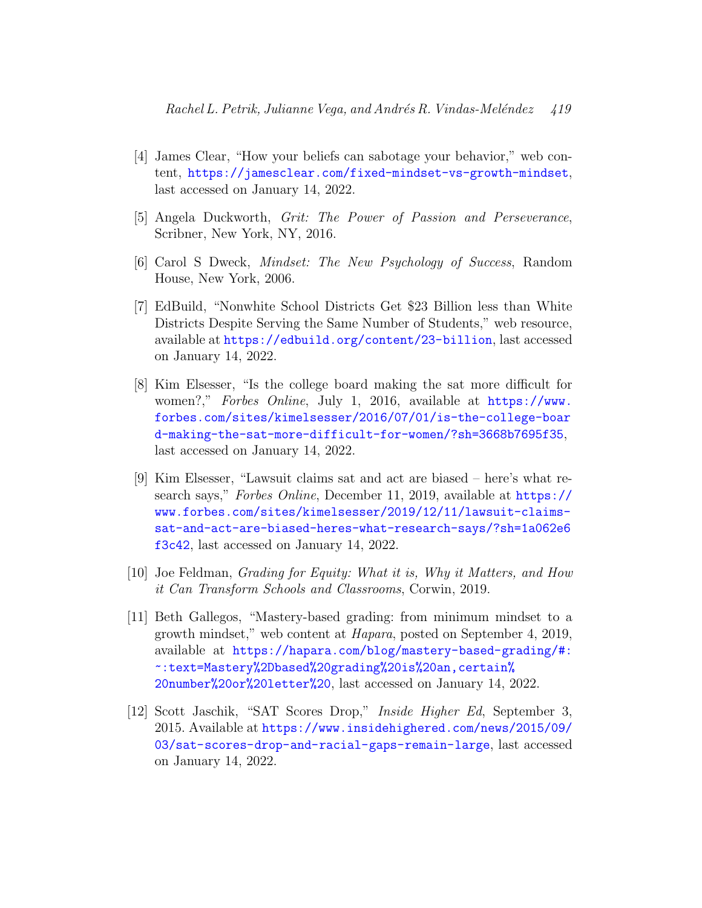- <span id="page-12-2"></span>[4] James Clear, "How your beliefs can sabotage your behavior," web content, <https://jamesclear.com/fixed-mindset-vs-growth-mindset>, last accessed on January 14, 2022.
- <span id="page-12-3"></span>[5] Angela Duckworth, Grit: The Power of Passion and Perseverance, Scribner, New York, NY, 2016.
- <span id="page-12-1"></span>[6] Carol S Dweck, Mindset: The New Psychology of Success, Random House, New York, 2006.
- <span id="page-12-0"></span>[7] EdBuild, "Nonwhite School Districts Get \$23 Billion less than White Districts Despite Serving the Same Number of Students," web resource, available at <https://edbuild.org/content/23-billion>, last accessed on January 14, 2022.
- <span id="page-12-6"></span>[8] Kim Elsesser, "Is the college board making the sat more difficult for women?," Forbes Online, July 1, 2016, available at [https://www.](https://www.forbes.com/sites/kimelsesser/2016/07/01/is-the-college-board-making-the-sat-more-difficult-for-women/?sh=3668b7695f35) [forbes.com/sites/kimelsesser/2016/07/01/is-the-college-boar](https://www.forbes.com/sites/kimelsesser/2016/07/01/is-the-college-board-making-the-sat-more-difficult-for-women/?sh=3668b7695f35) [d-making-the-sat-more-difficult-for-women/?sh=3668b7695f35](https://www.forbes.com/sites/kimelsesser/2016/07/01/is-the-college-board-making-the-sat-more-difficult-for-women/?sh=3668b7695f35), last accessed on January 14, 2022.
- <span id="page-12-7"></span>[9] Kim Elsesser, "Lawsuit claims sat and act are biased – here's what research says," Forbes Online, December 11, 2019, available at [https://](https://www.forbes.com/sites/kimelsesser/2019/12/11/lawsuit-claims-sat-and-act-are-biased-heres-what-research-says/?sh=1a062e6f3c42) [www.forbes.com/sites/kimelsesser/2019/12/11/lawsuit-claims](https://www.forbes.com/sites/kimelsesser/2019/12/11/lawsuit-claims-sat-and-act-are-biased-heres-what-research-says/?sh=1a062e6f3c42)[sat-and-act-are-biased-heres-what-research-says/?sh=1a062e6](https://www.forbes.com/sites/kimelsesser/2019/12/11/lawsuit-claims-sat-and-act-are-biased-heres-what-research-says/?sh=1a062e6f3c42) [f3c42](https://www.forbes.com/sites/kimelsesser/2019/12/11/lawsuit-claims-sat-and-act-are-biased-heres-what-research-says/?sh=1a062e6f3c42), last accessed on January 14, 2022.
- <span id="page-12-4"></span>[10] Joe Feldman, Grading for Equity: What it is, Why it Matters, and How it Can Transform Schools and Classrooms, Corwin, 2019.
- <span id="page-12-5"></span>[11] Beth Gallegos, "Mastery-based grading: from minimum mindset to a growth mindset," web content at Hapara, posted on September 4, 2019, available at [https://hapara.com/blog/mastery-based-grading/#:](https://hapara.com/blog/mastery-based-grading/#:~:text=Mastery%2Dbased%20grading%20is%20an,certain%20number%20or%20letter%20) [~:text=Mastery%2Dbased%20grading%20is%20an,certain%](https://hapara.com/blog/mastery-based-grading/#:~:text=Mastery%2Dbased%20grading%20is%20an,certain%20number%20or%20letter%20) [20number%20or%20letter%20](https://hapara.com/blog/mastery-based-grading/#:~:text=Mastery%2Dbased%20grading%20is%20an,certain%20number%20or%20letter%20), last accessed on January 14, 2022.
- <span id="page-12-8"></span>[12] Scott Jaschik, "SAT Scores Drop," Inside Higher Ed, September 3, 2015. Available at [https://www.insidehighered.com/news/2015/09/](https://www.insidehighered.com/news/2015/09/03/sat-scores-drop-and-racial-gaps-remain-large) [03/sat-scores-drop-and-racial-gaps-remain-large](https://www.insidehighered.com/news/2015/09/03/sat-scores-drop-and-racial-gaps-remain-large), last accessed on January 14, 2022.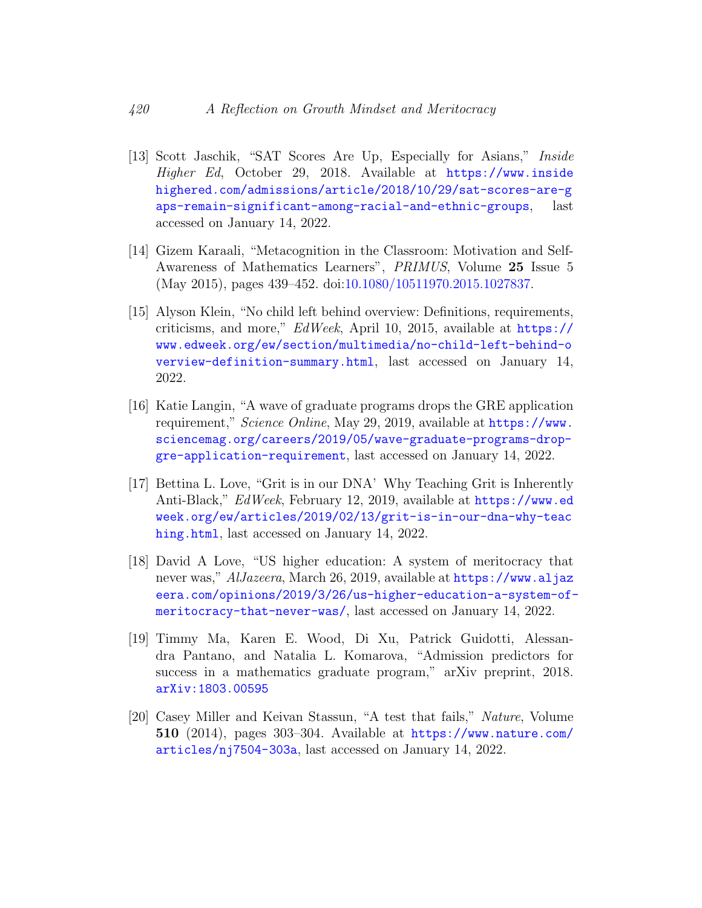- <span id="page-13-4"></span>[13] Scott Jaschik, "SAT Scores Are Up, Especially for Asians," Inside Higher Ed, October 29, 2018. Available at [https://www.inside](https://www.insidehighered.com/admissions/article/2018/10/29/sat-scores-are-gaps-remain-significant-among-racial-and-ethnic-groups) [highered.com/admissions/article/2018/10/29/sat-scores-are-g](https://www.insidehighered.com/admissions/article/2018/10/29/sat-scores-are-gaps-remain-significant-among-racial-and-ethnic-groups) [aps-remain-significant-among-racial-and-ethnic-groups](https://www.insidehighered.com/admissions/article/2018/10/29/sat-scores-are-gaps-remain-significant-among-racial-and-ethnic-groups), last accessed on January 14, 2022.
- <span id="page-13-3"></span>[14] Gizem Karaali, "Metacognition in the Classroom: Motivation and Self-Awareness of Mathematics Learners", PRIMUS, Volume 25 Issue 5 (May 2015), pages 439–452. doi[:10.1080/10511970.2015.1027837.](http://dx.doi.org/10.1080/10511970.2015.1027837)
- <span id="page-13-1"></span>[15] Alyson Klein, "No child left behind overview: Definitions, requirements, criticisms, and more," EdWeek, April 10, 2015, available at [https://](https://www.edweek.org/ew/section/multimedia/no-child-left-behind-overview-definition-summary.html) [www.edweek.org/ew/section/multimedia/no-child-left-behind-o](https://www.edweek.org/ew/section/multimedia/no-child-left-behind-overview-definition-summary.html) [verview-definition-summary.html](https://www.edweek.org/ew/section/multimedia/no-child-left-behind-overview-definition-summary.html), last accessed on January 14, 2022.
- <span id="page-13-5"></span>[16] Katie Langin, "A wave of graduate programs drops the GRE application requirement," Science Online, May 29, 2019, available at [https://www.](https://www.sciencemag.org/careers/2019/05/wave-graduate-programs-drop-gre-application-requirement) [sciencemag.org/careers/2019/05/wave-graduate-programs-drop](https://www.sciencemag.org/careers/2019/05/wave-graduate-programs-drop-gre-application-requirement)[gre-application-requirement](https://www.sciencemag.org/careers/2019/05/wave-graduate-programs-drop-gre-application-requirement), last accessed on January 14, 2022.
- <span id="page-13-2"></span>[17] Bettina L. Love, "Grit is in our DNA' Why Teaching Grit is Inherently Anti-Black," EdWeek, February 12, 2019, available at [https://www.ed](https://www.edweek.org/ew/articles/2019/02/13/grit-is-in-our-dna-why-teaching.html) [week.org/ew/articles/2019/02/13/grit-is-in-our-dna-why-teac](https://www.edweek.org/ew/articles/2019/02/13/grit-is-in-our-dna-why-teaching.html) [hing.html](https://www.edweek.org/ew/articles/2019/02/13/grit-is-in-our-dna-why-teaching.html), last accessed on January 14, 2022.
- <span id="page-13-0"></span>[18] David A Love, "US higher education: A system of meritocracy that never was," AlJazeera, March 26, 2019, available at [https://www.aljaz](https://www.aljazeera.com/opinions/2019/3/26/us-higher-education-a-system-of-meritocracy-that-never-was/) [eera.com/opinions/2019/3/26/us-higher-education-a-system-of](https://www.aljazeera.com/opinions/2019/3/26/us-higher-education-a-system-of-meritocracy-that-never-was/)[meritocracy-that-never-was/](https://www.aljazeera.com/opinions/2019/3/26/us-higher-education-a-system-of-meritocracy-that-never-was/), last accessed on January 14, 2022.
- <span id="page-13-6"></span>[19] Timmy Ma, Karen E. Wood, Di Xu, Patrick Guidotti, Alessandra Pantano, and Natalia L. Komarova, "Admission predictors for success in a mathematics graduate program," arXiv preprint, 2018. [arXiv:1803.00595](https://arxiv.org/abs/1803.00595)
- <span id="page-13-7"></span>[20] Casey Miller and Keivan Stassun, "A test that fails," Nature, Volume 510 (2014), pages 303-304. Available at  $https://www.nature.com/$ [articles/nj7504-303a](https://www.nature.com/articles/nj7504-303a), last accessed on January 14, 2022.